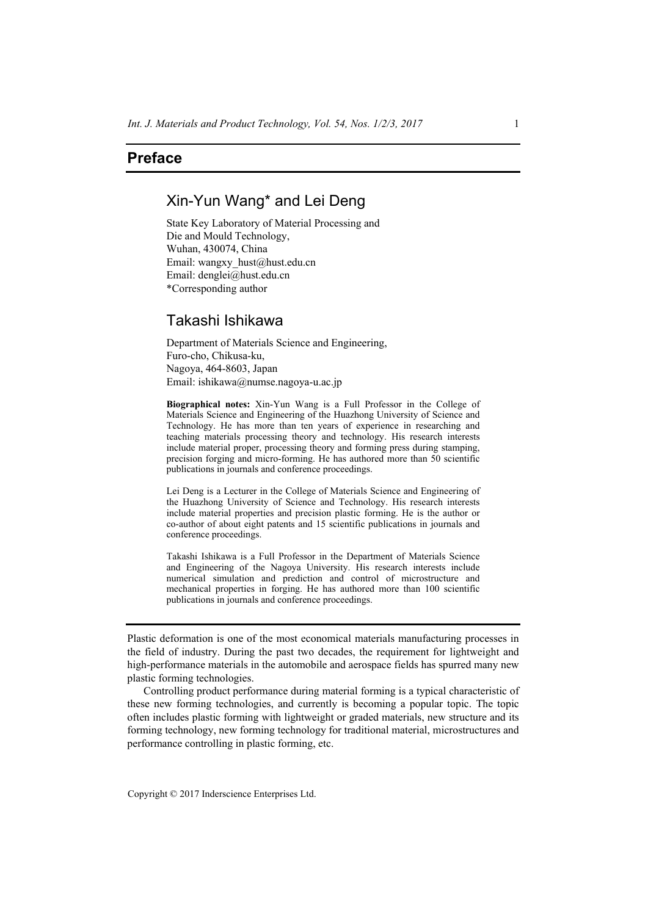## **Preface**

## Xin-Yun Wang\* and Lei Deng

State Key Laboratory of Material Processing and Die and Mould Technology, Wuhan, 430074, China Email: wangxy\_hust@hust.edu.cn Email: denglei@hust.edu.cn \*Corresponding author

## Takashi Ishikawa

Department of Materials Science and Engineering, Furo-cho, Chikusa-ku, Nagoya, 464-8603, Japan Email: ishikawa@numse.nagoya-u.ac.jp

**Biographical notes:** Xin-Yun Wang is a Full Professor in the College of Materials Science and Engineering of the Huazhong University of Science and Technology. He has more than ten years of experience in researching and teaching materials processing theory and technology. His research interests include material proper, processing theory and forming press during stamping, precision forging and micro-forming. He has authored more than 50 scientific publications in journals and conference proceedings.

Lei Deng is a Lecturer in the College of Materials Science and Engineering of the Huazhong University of Science and Technology. His research interests include material properties and precision plastic forming. He is the author or co-author of about eight patents and 15 scientific publications in journals and conference proceedings.

Takashi Ishikawa is a Full Professor in the Department of Materials Science and Engineering of the Nagoya University. His research interests include numerical simulation and prediction and control of microstructure and mechanical properties in forging. He has authored more than 100 scientific publications in journals and conference proceedings.

Plastic deformation is one of the most economical materials manufacturing processes in the field of industry. During the past two decades, the requirement for lightweight and high-performance materials in the automobile and aerospace fields has spurred many new plastic forming technologies.

Controlling product performance during material forming is a typical characteristic of these new forming technologies, and currently is becoming a popular topic. The topic often includes plastic forming with lightweight or graded materials, new structure and its forming technology, new forming technology for traditional material, microstructures and performance controlling in plastic forming, etc.